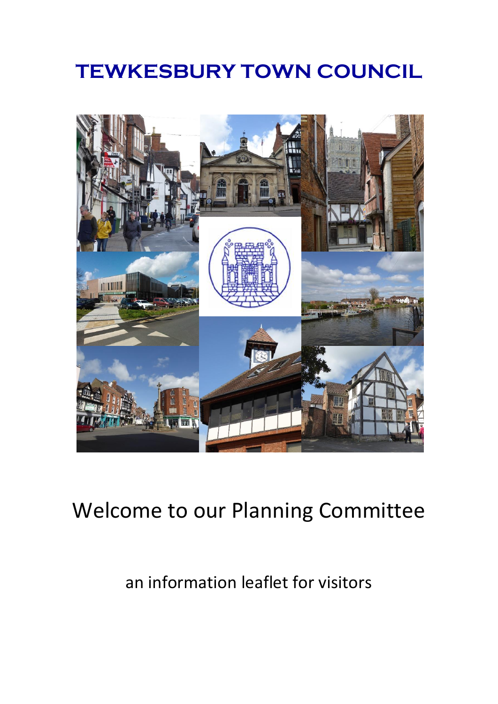## **TEWKESBURY TOWN COUNCIL**



# Welcome to our Planning Committee

## an information leaflet for visitors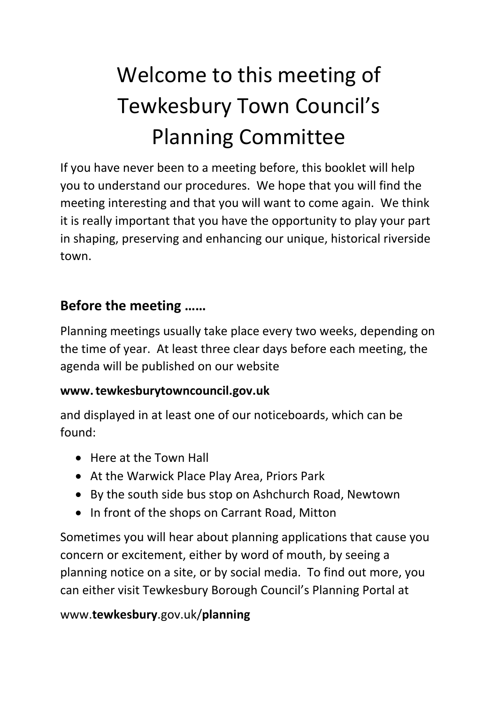# Welcome to this meeting of Tewkesbury Town Council's Planning Committee

If you have never been to a meeting before, this booklet will help you to understand our procedures. We hope that you will find the meeting interesting and that you will want to come again. We think it is really important that you have the opportunity to play your part in shaping, preserving and enhancing our unique, historical riverside town.

#### **Before the meeting ……**

Planning meetings usually take place every two weeks, depending on the time of year. At least three clear days before each meeting, the agenda will be published on our website

#### **www.tewkesburytowncouncil.gov.uk**

and displayed in at least one of our noticeboards, which can be found:

- Here at the Town Hall
- At the Warwick Place Play Area, Priors Park
- By the south side bus stop on Ashchurch Road, Newtown
- In front of the shops on Carrant Road, Mitton

Sometimes you will hear about planning applications that cause you concern or excitement, either by word of mouth, by seeing a planning notice on a site, or by social media. To find out more, you can either visit Tewkesbury Borough Council's Planning Portal at

#### www.**tewkesbury**.gov.uk/**planning**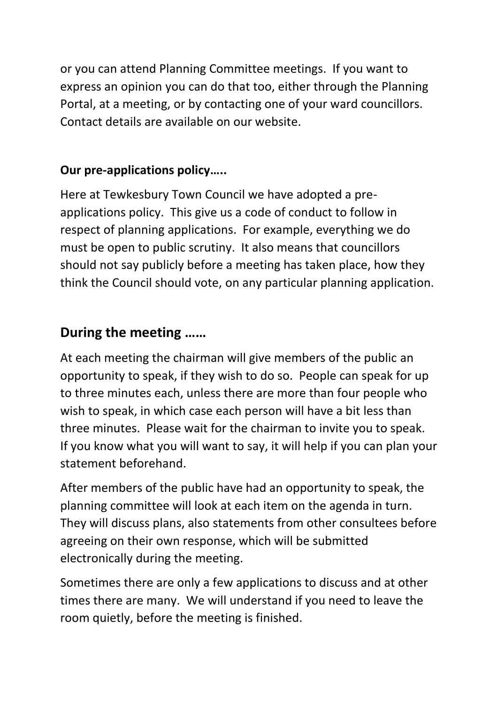or you can attend Planning Committee meetings. If you want to express an opinion you can do that too, either through the Planning Portal, at a meeting, or by contacting one of your ward councillors. Contact details are available on our website.

#### **Our pre-applications policy…..**

Here at Tewkesbury Town Council we have adopted a preapplications policy. This give us a code of conduct to follow in respect of planning applications. For example, everything we do must be open to public scrutiny. It also means that councillors should not say publicly before a meeting has taken place, how they think the Council should vote, on any particular planning application.

#### **During the meeting ……**

At each meeting the chairman will give members of the public an opportunity to speak, if they wish to do so. People can speak for up to three minutes each, unless there are more than four people who wish to speak, in which case each person will have a bit less than three minutes. Please wait for the chairman to invite you to speak. If you know what you will want to say, it will help if you can plan your statement beforehand.

After members of the public have had an opportunity to speak, the planning committee will look at each item on the agenda in turn. They will discuss plans, also statements from other consultees before agreeing on their own response, which will be submitted electronically during the meeting.

Sometimes there are only a few applications to discuss and at other times there are many. We will understand if you need to leave the room quietly, before the meeting is finished.